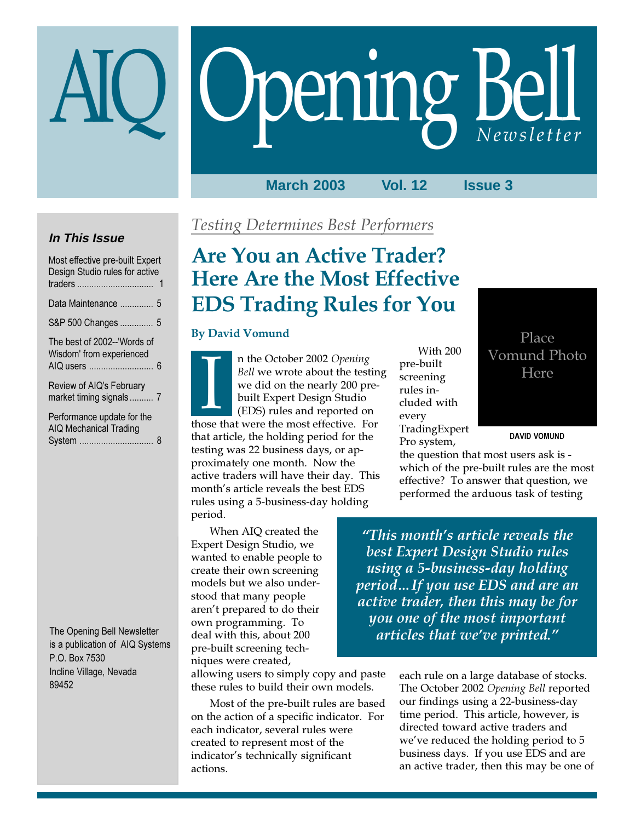# Opening Bell

# **March 2003 Vol. 12 Issue 3**

# **In This Issue**

| Most effective pre-built Expert<br>Design Studio rules for active |
|-------------------------------------------------------------------|
| Data Maintenance  5                                               |
| S&P 500 Changes  5                                                |
| The best of 2002--'Words of<br>Wisdom' from experienced           |
| Review of AIQ's February<br>market timing signals 7               |
| Performance update for the<br>AIQ Mechanical Trading              |

System ............................... 8

The Opening Bell Newsletter is a publication of AIQ Systems P.O. Box 7530 Incline Village, Nevada 89452

# Testing Determines Best Performers

# Are You an Active Trader? Here Are the Most Effective EDS Trading Rules for You

# By David Vomund

n the October 2002 Opening Bell we wrote about the testing we did on the nearly 200 prebuilt Expert Design Studio (EDS) rules and reported on France CCODET 2002 Opening<br>
Bell we wrote about the testir<br>
we did on the nearly 200 pre-<br>
built Expert Design Studio<br>
(EDS) rules and reported on<br>
those that were the most effective. For that article, the holding period for the testing was 22 business days, or approximately one month. Now the active traders will have their day. This month's article reveals the best EDS rules using a 5-business-day holding period.

When AIQ created the Expert Design Studio, we wanted to enable people to create their own screening models but we also understood that many people aren't prepared to do their own programming. To deal with this, about 200 pre-built screening techniques were created,

allowing users to simply copy and paste these rules to build their own models.

Most of the pre-built rules are based on the action of a specific indicator. For each indicator, several rules were created to represent most of the indicator's technically significant actions.

With 200 pre-built screening rules included with every TradingExpert Pro system,

# Place Vomund Photo Here

## DAVID VOMUND

the question that most users ask is which of the pre-built rules are the most effective? To answer that question, we performed the arduous task of testing

"This month's article reveals the best Expert Design Studio rules using a 5-business-day holding period…If you use EDS and are an active trader, then this may be for you one of the most important articles that we've printed."

> each rule on a large database of stocks. The October 2002 Opening Bell reported our findings using a 22-business-day time period. This article, however, is directed toward active traders and we've reduced the holding period to 5 business days. If you use EDS and are an active trader, then this may be one of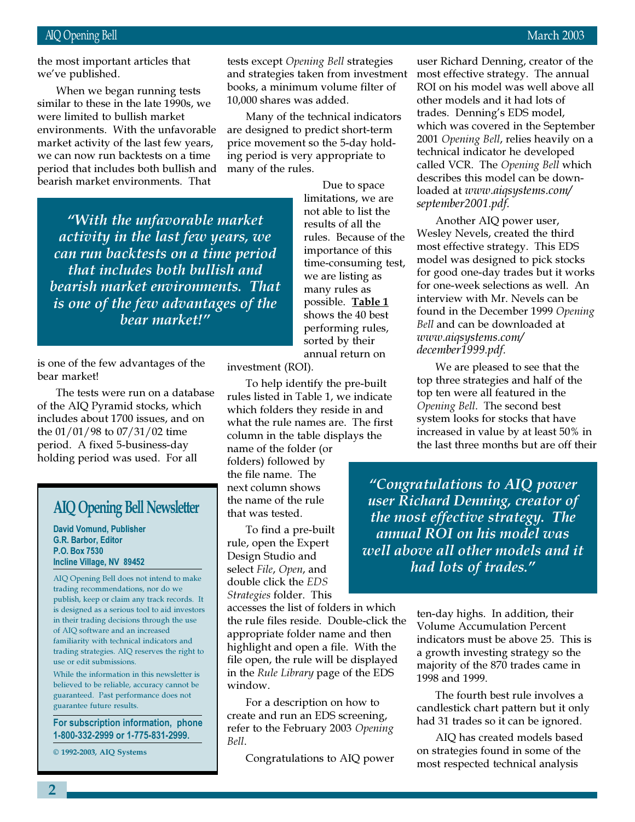the most important articles that we've published.

similar to these in the late 1990s, we When we began running tests were limited to bullish market environments. With the unfavorable market activity of the last few years, we can now run backtests on a time period that includes both bullish and bearish market environments. That

"With the unfavorable market activity in the last few years, we can run backtests on a time period that includes both bullish and bearish market environments. That is one of the few advantages of the bear market!"

is one of the few advantages of the bear market!

The tests were run on a database of the AIQ Pyramid stocks, which includes about 1700 issues, and on the 01/01/98 to 07/31/02 time period. A fixed 5-business-day holding period was used. For all

# AIQ Opening Bell Newsletter

David Vomund, Publisher G.R. Barbor, Editor P.O. Box 7530 Incline Village, NV 89452

AIQ Opening Bell does not intend to make trading recommendations, nor do we publish, keep or claim any track records. It is designed as a serious tool to aid investors in their trading decisions through the use of AIQ software and an increased familiarity with technical indicators and trading strategies. AIQ reserves the right to use or edit submissions.

While the information in this newsletter is believed to be reliable, accuracy cannot be guaranteed. Past performance does not guarantee future results.

For subscription information, phone 1-800-332-2999 or 1-775-831-2999.

© 1992-2003, AIQ Systems

tests except Opening Bell strategies and strategies taken from investment books, a minimum volume filter of 10,000 shares was added.

Many of the technical indicators are designed to predict short-term price movement so the 5-day holding period is very appropriate to many of the rules.

> Due to space limitations, we are not able to list the results of all the rules. Because of the importance of this time-consuming test, we are listing as many rules as possible. Table 1 shows the 40 best performing rules, sorted by their annual return on

investment (ROI).

To help identify the pre-built rules listed in Table 1, we indicate which folders they reside in and what the rule names are. The first column in the table displays the

name of the folder (or folders) followed by the file name. The next column shows the name of the rule that was tested.

To find a pre-built rule, open the Expert Design Studio and select File, Open, and double click the EDS Strategies folder. This

accesses the list of folders in which the rule files reside. Double-click the appropriate folder name and then highlight and open a file. With the file open, the rule will be displayed in the Rule Library page of the EDS window.

For a description on how to create and run an EDS screening, refer to the February 2003 Opening Bell.

Congratulations to AIQ power

user Richard Denning, creator of the most effective strategy. The annual ROI on his model was well above all other models and it had lots of trades. Denning's EDS model, which was covered in the September 2001 Opening Bell, relies heavily on a technical indicator he developed called VCR. The Opening Bell which describes this model can be downloaded at www.aiqsystems.com/ september2001.pdf.

Another AIQ power user, Wesley Nevels, created the third most effective strategy. This EDS model was designed to pick stocks for good one-day trades but it works for one-week selections as well. An interview with Mr. Nevels can be found in the December 1999 Opening Bell and can be downloaded at www.aiqsystems.com/ december1999.pdf.

We are pleased to see that the top three strategies and half of the top ten were all featured in the Opening Bell. The second best system looks for stocks that have increased in value by at least 50% in the last three months but are off their

"Congratulations to AIQ power user Richard Denning, creator of the most effective strategy. The annual ROI on his model was well above all other models and it had lots of trades."

> ten-day highs. In addition, their Volume Accumulation Percent indicators must be above 25. This is a growth investing strategy so the majority of the 870 trades came in 1998 and 1999.

> The fourth best rule involves a candlestick chart pattern but it only had 31 trades so it can be ignored.

AIQ has created models based on strategies found in some of the most respected technical analysis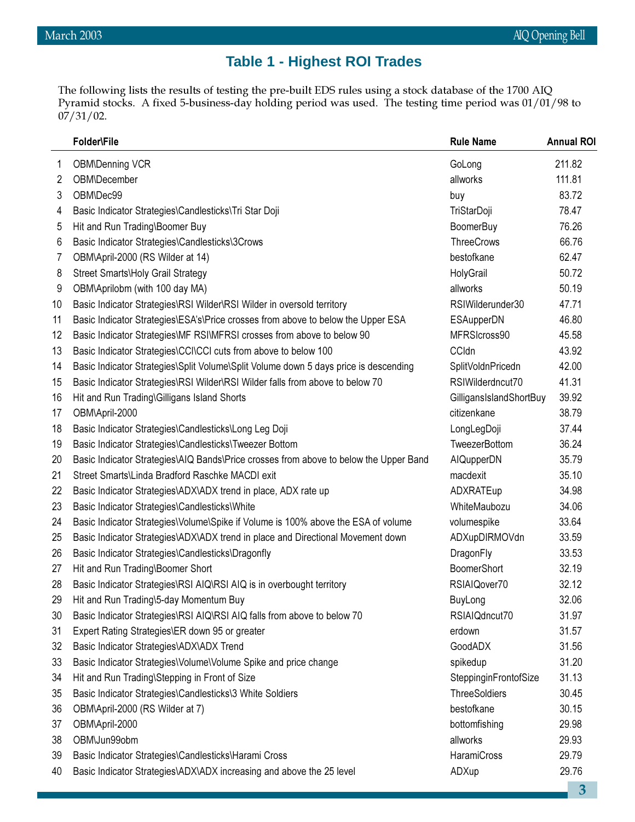# **Table 1 - Highest ROI Trades**

The following lists the results of testing the pre-built EDS rules using a stock database of the 1700 AIQ Pyramid stocks. A fixed 5-business-day holding period was used. The testing time period was 01/01/98 to  $07/31/02$ .

|    | Folder\File                                                                           | <b>Rule Name</b>        | <b>Annual ROI</b> |
|----|---------------------------------------------------------------------------------------|-------------------------|-------------------|
| 1  | <b>OBM\Denning VCR</b>                                                                | GoLong                  | 211.82            |
| 2  | OBM\December                                                                          | allworks                | 111.81            |
| 3  | OBM\Dec99                                                                             | buy                     | 83.72             |
| 4  | Basic Indicator Strategies\Candlesticks\Tri Star Doji                                 | TriStarDoji             | 78.47             |
| 5  | Hit and Run Trading\Boomer Buy                                                        | <b>BoomerBuy</b>        | 76.26             |
| 6  | Basic Indicator Strategies\Candlesticks\3Crows                                        | <b>ThreeCrows</b>       | 66.76             |
| 7  | OBM\April-2000 (RS Wilder at 14)                                                      | bestofkane              | 62.47             |
| 8  | Street Smarts\Holy Grail Strategy                                                     | HolyGrail               | 50.72             |
| 9  | OBM\Aprilobm (with 100 day MA)                                                        | allworks                | 50.19             |
| 10 | Basic Indicator Strategies\RSI Wilder\RSI Wilder in oversold territory                | RSIWilderunder30        | 47.71             |
| 11 | Basic Indicator Strategies\ESA's\Price crosses from above to below the Upper ESA      | ESAupperDN              | 46.80             |
| 12 | Basic Indicator Strategies\MF RSI\MFRSI crosses from above to below 90                | MFRSIcross90            | 45.58             |
| 13 | Basic Indicator Strategies\CCI\CCI cuts from above to below 100                       | <b>CCldn</b>            | 43.92             |
| 14 | Basic Indicator Strategies\Split Volume\Split Volume down 5 days price is descending  | SplitVoldnPricedn       | 42.00             |
| 15 | Basic Indicator Strategies\RSI Wilder\RSI Wilder falls from above to below 70         | RSIWilderdncut70        | 41.31             |
| 16 | Hit and Run Trading\Gilligans Island Shorts                                           | GilligansIslandShortBuy | 39.92             |
| 17 | OBM\April-2000                                                                        | citizenkane             | 38.79             |
| 18 | Basic Indicator Strategies\Candlesticks\Long Leg Doji                                 | LongLegDoji             | 37.44             |
| 19 | Basic Indicator Strategies\Candlesticks\Tweezer Bottom                                | TweezerBottom           | 36.24             |
| 20 | Basic Indicator Strategies\AIQ Bands\Price crosses from above to below the Upper Band | AIQupperDN              | 35.79             |
| 21 | Street Smarts\Linda Bradford Raschke MACDI exit                                       | macdexit                | 35.10             |
| 22 | Basic Indicator Strategies\ADX\ADX trend in place, ADX rate up                        | ADXRATEup               | 34.98             |
| 23 | Basic Indicator Strategies\Candlesticks\White                                         | WhiteMaubozu            | 34.06             |
| 24 | Basic Indicator Strategies\Volume\Spike if Volume is 100% above the ESA of volume     | volumespike             | 33.64             |
| 25 | Basic Indicator Strategies\ADX\ADX trend in place and Directional Movement down       | ADXupDIRMOVdn           | 33.59             |
| 26 | Basic Indicator Strategies\Candlesticks\Dragonfly                                     | DragonFly               | 33.53             |
| 27 | Hit and Run Trading\Boomer Short                                                      | <b>BoomerShort</b>      | 32.19             |
| 28 | Basic Indicator Strategies\RSI AIQ\RSI AIQ is in overbought territory                 | RSIAIQover70            | 32.12             |
| 29 | Hit and Run Trading\5-day Momentum Buy                                                | BuyLong                 | 32.06             |
| 30 | Basic Indicator Strategies\RSI AIQ\RSI AIQ falls from above to below 70               | RSIAIQdncut70           | 31.97             |
| 31 | Expert Rating Strategies\ER down 95 or greater                                        | erdown                  | 31.57             |
| 32 | Basic Indicator Strategies\ADX\ADX Trend                                              | GoodADX                 | 31.56             |
| 33 | Basic Indicator Strategies\Volume\Volume Spike and price change                       | spikedup                | 31.20             |
| 34 | Hit and Run Trading\Stepping in Front of Size                                         | SteppinginFrontofSize   | 31.13             |
| 35 | Basic Indicator Strategies\Candlesticks\3 White Soldiers                              | <b>ThreeSoldiers</b>    | 30.45             |
| 36 | OBM\April-2000 (RS Wilder at 7)                                                       | bestofkane              | 30.15             |
| 37 | OBM\April-2000                                                                        | bottomfishing           | 29.98             |
| 38 | OBM\Jun99obm                                                                          | allworks                | 29.93             |
| 39 | Basic Indicator Strategies\Candlesticks\Harami Cross                                  | HaramiCross             | 29.79             |
| 40 | Basic Indicator Strategies\ADX\ADX increasing and above the 25 level                  | ADXup                   | 29.76             |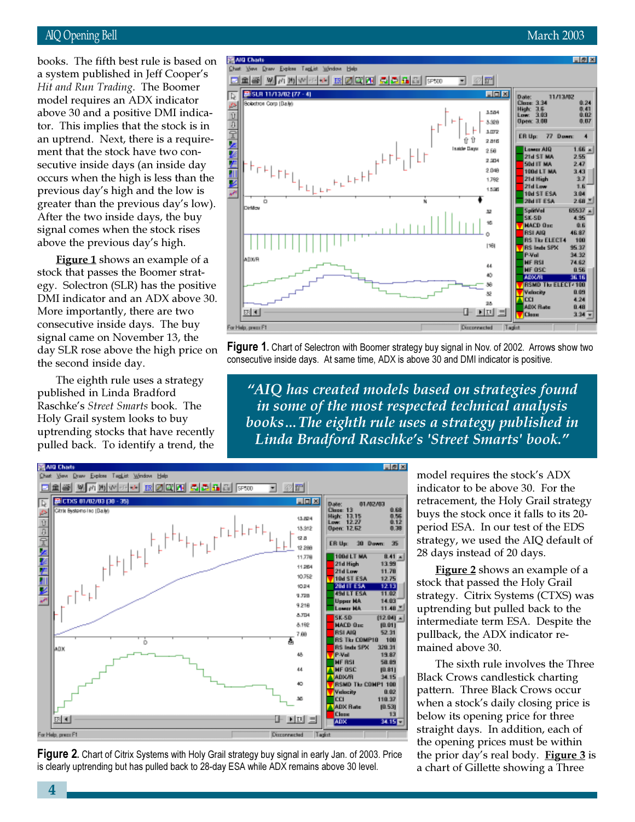# AIQ Opening Bell March 2003

model requires an ADX indicator books. The fifth best rule is based on a system published in Jeff Cooper's Hit and Run Trading. The Boomer above 30 and a positive DMI indicator. This implies that the stock is in an uptrend. Next, there is a requirement that the stock have two consecutive inside days (an inside day occurs when the high is less than the previous day's high and the low is greater than the previous day's low). After the two inside days, the buy signal comes when the stock rises above the previous day's high.

Figure 1 shows an example of a stock that passes the Boomer strategy. Solectron (SLR) has the positive DMI indicator and an ADX above 30. More importantly, there are two consecutive inside days. The buy signal came on November 13, the day SLR rose above the high price on the second inside day.

The eighth rule uses a strategy published in Linda Bradford Raschke's Street Smarts book. The Holy Grail system looks to buy uptrending stocks that have recently pulled back. To identify a trend, the



**Figure 1.** Chart of Selectron with Boomer strategy buy signal in Nov. of 2002. Arrows show two consecutive inside days. At same time, ADX is above 30 and DMI indicator is positive.

"AIQ has created models based on strategies found in some of the most respected technical analysis books…The eighth rule uses a strategy published in Linda Bradford Raschke's 'Street Smarts' book."



**Figure 2.** Chart of Citrix Systems with Holy Grail strategy buy signal in early Jan. of 2003. Price is clearly uptrending but has pulled back to 28-day ESA while ADX remains above 30 level.

model requires the stock's ADX indicator to be above 30. For the retracement, the Holy Grail strategy buys the stock once it falls to its 20 period ESA. In our test of the EDS strategy, we used the AIQ default of 28 days instead of 20 days.

Figure 2 shows an example of a stock that passed the Holy Grail strategy. Citrix Systems (CTXS) was uptrending but pulled back to the intermediate term ESA. Despite the pullback, the ADX indicator remained above 30.

The sixth rule involves the Three Black Crows candlestick charting pattern. Three Black Crows occur when a stock's daily closing price is below its opening price for three straight days. In addition, each of the opening prices must be within the prior day's real body. Figure  $3$  is a chart of Gillette showing a Three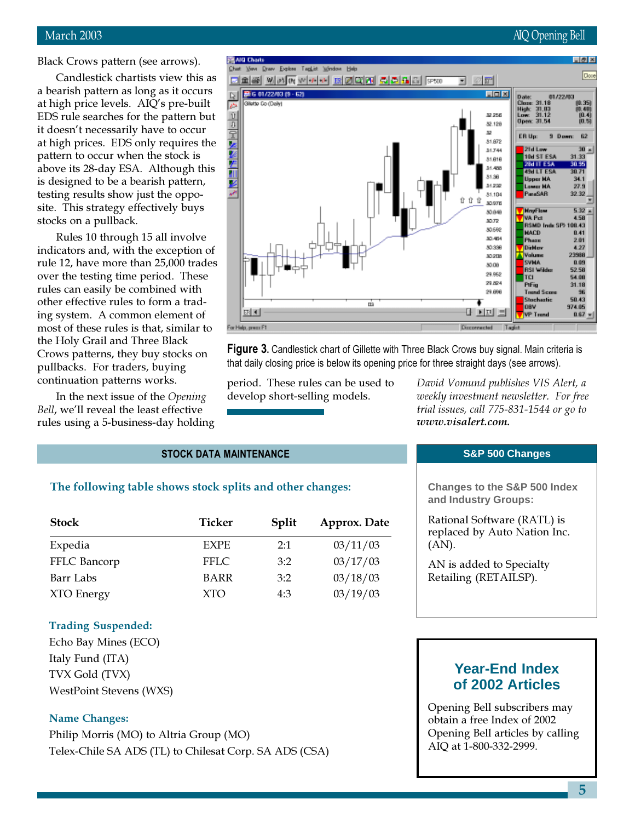# March 2003 **AIQ Opening Bell**

Black Crows pattern (see arrows).

Candlestick chartists view this as a bearish pattern as long as it occurs at high price levels. AIQ's pre-built EDS rule searches for the pattern but it doesn't necessarily have to occur at high prices. EDS only requires the pattern to occur when the stock is above its 28-day ESA. Although this is designed to be a bearish pattern, testing results show just the opposite. This strategy effectively buys stocks on a pullback.

Rules 10 through 15 all involve indicators and, with the exception of rule 12, have more than 25,000 trades over the testing time period. These rules can easily be combined with other effective rules to form a trading system. A common element of most of these rules is that, similar to the Holy Grail and Three Black Crows patterns, they buy stocks on pullbacks. For traders, buying continuation patterns works.

In the next issue of the Opening Bell, we'll reveal the least effective rules using a 5-business-day holding



**Figure 3.** Candlestick chart of Gillette with Three Black Crows buy signal. Main criteria is that daily closing price is below its opening price for three straight days (see arrows).

period. These rules can be used to develop short-selling models.

David Vomund publishes VIS Alert, a weekly investment newsletter. For free trial issues, call 775-831-1544 or go to www.visalert.com.

## STOCK DATA MAINTENANCE

## The following table shows stock splits and other changes:

| <b>Stock</b> | Ticker      | Split | Approx. Date |  |
|--------------|-------------|-------|--------------|--|
| Expedia      | <b>EXPE</b> | 2:1   | 03/11/03     |  |
| FFLC Bancorp | <b>FFLC</b> | 3:2   | 03/17/03     |  |
| Barr Labs    | <b>BARR</b> | 3:2   | 03/18/03     |  |
| XTO Energy   | <b>XTO</b>  | 4:3   | 03/19/03     |  |

## Trading Suspended:

Echo Bay Mines (ECO) Italy Fund (ITA) TVX Gold (TVX) WestPoint Stevens (WXS)

# Name Changes:

Philip Morris (MO) to Altria Group (MO) Telex-Chile SA ADS (TL) to Chilesat Corp. SA ADS (CSA)

### **S&P 500 Changes**

**Changes to the S&P 500 Index and Industry Groups:**

Rational Software (RATL) is replaced by Auto Nation Inc. (AN).

AN is added to Specialty Retailing (RETAILSP).

# **Year-End Index of 2002 Articles**

Opening Bell subscribers may obtain a free Index of 2002 Opening Bell articles by calling AIQ at 1-800-332-2999.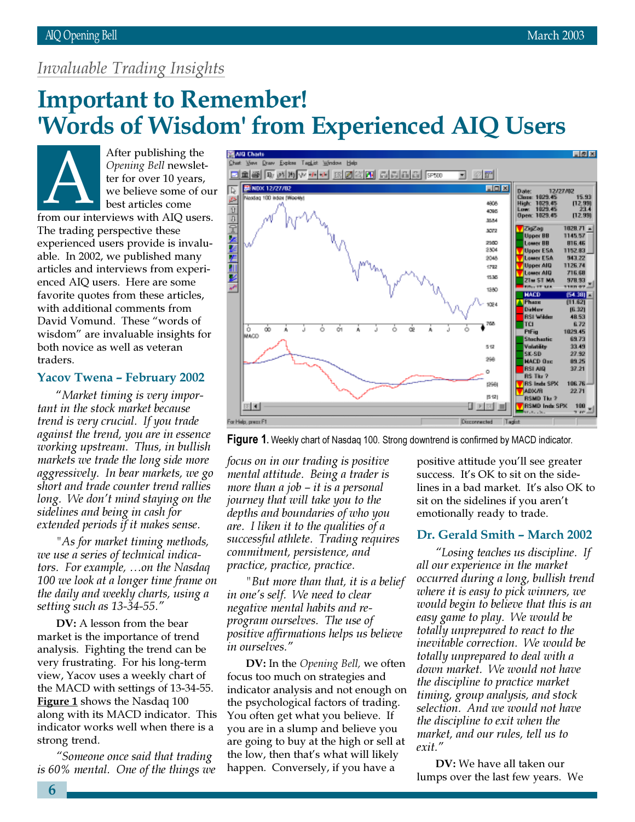# Invaluable Trading Insights

# **Important to Remember!** 'Words of Wisdom' from Experienced AIQ Users

After publishing the Opening Bell newsletter for over 10 years, we believe some of our best articles come Opening Bell newsletter for over 10 years,<br>
we believe some of our<br>
from our interviews with AIQ users. The trading perspective these experienced users provide is invaluable. In 2002, we published many articles and interviews from experienced AIQ users. Here are some favorite quotes from these articles, with additional comments from David Vomund. These "words of wisdom" are invaluable insights for both novice as well as veteran traders.

# Yacov Twena – February 2002

"Market timing is very important in the stock market because trend is very crucial. If you trade against the trend, you are in essence working upstream. Thus, in bullish markets we trade the long side more aggressively. In bear markets, we go short and trade counter trend rallies long. We don't mind staying on the sidelines and being in cash for extended periods if it makes sense.

"As for market timing methods, we use a series of technical indicators. For example, …on the Nasdaq 100 we look at a longer time frame on the daily and weekly charts, using a setting such as 13-34-55."

DV: A lesson from the bear market is the importance of trend analysis. Fighting the trend can be very frustrating. For his long-term view, Yacov uses a weekly chart of the MACD with settings of 13-34-55. **Figure 1** shows the Nasdaq 100 along with its MACD indicator. This indicator works well when there is a strong trend.

"Someone once said that trading is 60% mental. One of the things we



**Figure 1.** Weekly chart of Nasdaq 100. Strong downtrend is confirmed by MACD indicator.

focus on in our trading is positive mental attitude. Being a trader is more than a job – it is a personal journey that will take you to the depths and boundaries of who you are. I liken it to the qualities of a successful athlete. Trading requires commitment, persistence, and practice, practice, practice.

"But more than that, it is a belief in one's self. We need to clear negative mental habits and reprogram ourselves. The use of positive affirmations helps us believe in ourselves."

DV: In the Opening Bell, we often focus too much on strategies and indicator analysis and not enough on the psychological factors of trading. You often get what you believe. If you are in a slump and believe you are going to buy at the high or sell at the low, then that's what will likely happen. Conversely, if you have a

positive attitude you'll see greater success. It's OK to sit on the sidelines in a bad market. It's also OK to sit on the sidelines if you aren't emotionally ready to trade.

# Dr. Gerald Smith – March 2002

"Losing teaches us discipline. If all our experience in the market occurred during a long, bullish trend where it is easy to pick winners, we would begin to believe that this is an easy game to play. We would be totally unprepared to react to the inevitable correction. We would be totally unprepared to deal with a down market. We would not have the discipline to practice market timing, group analysis, and stock selection. And we would not have the discipline to exit when the market, and our rules, tell us to exit."

DV: We have all taken our lumps over the last few years. We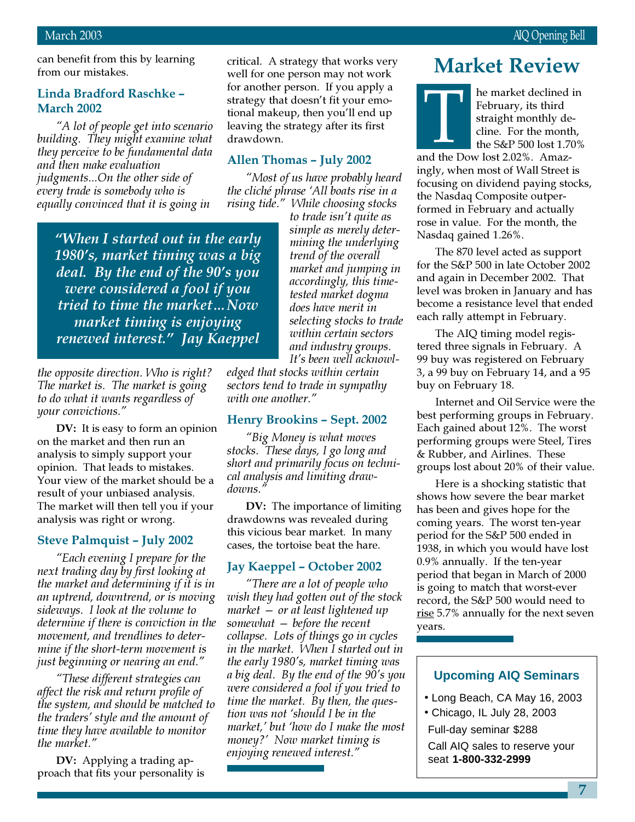can benefit from this by learning from our mistakes.

# Linda Bradford Raschke – March 2002

"A lot of people get into scenario building. They might examine what they perceive to be fundamental data and then make evaluation judgments...On the other side of every trade is somebody who is equally convinced that it is going in

"When I started out in the early 1980's, market timing was a big deal. By the end of the 90's you were considered a fool if you tried to time the market…Now market timing is enjoying renewed interest." Jay Kaeppel

the opposite direction. Who is right? The market is. The market is going to do what it wants regardless of your convictions."

DV: It is easy to form an opinion on the market and then run an analysis to simply support your opinion. That leads to mistakes. Your view of the market should be a result of your unbiased analysis. The market will then tell you if your analysis was right or wrong.

# Steve Palmquist – July 2002

"Each evening I prepare for the next trading day by first looking at the market and determining if it is in an uptrend, downtrend, or is moving sideways. I look at the volume to determine if there is conviction in the movement, and trendlines to determine if the short-term movement is just beginning or nearing an end."

"These different strategies can affect the risk and return profile of the system, and should be matched to the traders' style and the amount of time they have available to monitor the market."

DV: Applying a trading approach that fits your personality is critical. A strategy that works very well for one person may not work for another person. If you apply a strategy that doesn't fit your emotional makeup, then you'll end up leaving the strategy after its first drawdown.

# Allen Thomas – July 2002

"Most of us have probably heard the cliché phrase 'All boats rise in a rising tide." While choosing stocks

> to trade isn't quite as simple as merely determining the underlying trend of the overall market and jumping in accordingly, this timetested market dogma does have merit in selecting stocks to trade within certain sectors and industry groups. It's been well acknowl-

edged that stocks within certain sectors tend to trade in sympathy with one another."

# Henry Brookins – Sept. 2002

"Big Money is what moves stocks. These days, I go long and short and primarily focus on technical analysis and limiting drawdowns."

DV: The importance of limiting drawdowns was revealed during this vicious bear market. In many cases, the tortoise beat the hare.

# Jay Kaeppel – October 2002

"There are a lot of people who wish they had gotten out of the stock market — or at least lightened up somewhat — before the recent collapse. Lots of things go in cycles in the market. When I started out in the early 1980's, market timing was a big deal. By the end of the 90's you were considered a fool if you tried to time the market. By then, the question was not 'should I be in the market,' but 'how do I make the most money?' Now market timing is enjoying renewed interest."

# Market Review

he market declined in February, its third straight monthly decline. For the month, the S&P 500 lost 1.70% February, its third<br>February, its third<br>straight monthly de<br>cline. For the month<br>the S&P 500 lost 1.7

ingly, when most of Wall Street is focusing on dividend paying stocks, the Nasdaq Composite outperformed in February and actually rose in value. For the month, the Nasdaq gained 1.26%.

The 870 level acted as support for the S&P 500 in late October 2002 and again in December 2002. That level was broken in January and has become a resistance level that ended each rally attempt in February.

The AIQ timing model registered three signals in February. A 99 buy was registered on February 3, a 99 buy on February 14, and a 95 buy on February 18.

Internet and Oil Service were the best performing groups in February. Each gained about 12%. The worst performing groups were Steel, Tires & Rubber, and Airlines. These groups lost about 20% of their value.

Here is a shocking statistic that shows how severe the bear market has been and gives hope for the coming years. The worst ten-year period for the S&P 500 ended in 1938, in which you would have lost 0.9% annually. If the ten-year period that began in March of 2000 is going to match that worst-ever record, the S&P 500 would need to rise 5.7% annually for the next seven years.

# **Upcoming AIQ Seminars**

- Long Beach, CA May 16, 2003
- Chicago, IL July 28, 2003

Full-day seminar \$288

Call AIQ sales to reserve your seat **1-800-332-2999**

7